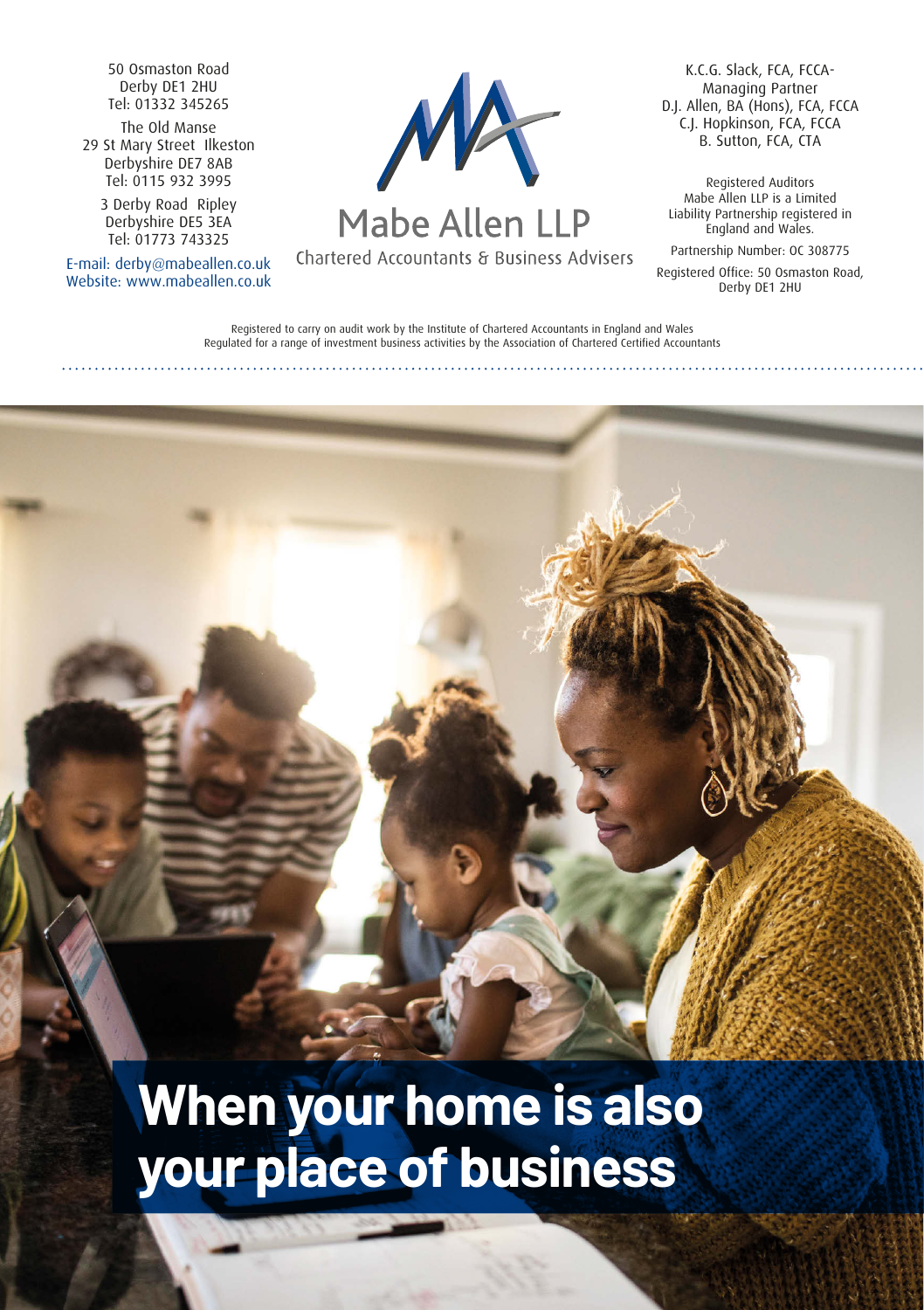50 Osmaston Road Derby DE1 2HU Tel: 01332 345265

The Old Manse 29 St Mary Street Ilkeston Derbyshire DE7 8AB Tel: 0115 932 3995

3 Derby Road Ripley Derbyshire DE5 3EA Tel: 01773 743325

E-mail: derby@mabeallen.co.uk Website: www.mabeallen.co.uk



# Mabe Allen LLP

Chartered Accountants & Business Advisers

K.C.G. Slack, FCA, FCCA-Managing Partner D.J. Allen, BA (Hons), FCA, FCCA C.J. Hopkinson, FCA, FCCA B. Sutton, FCA, CTA

Registered Auditors Mabe Allen LLP is a Limited Liability Partnership registered in England and Wales.

Partnership Number: OC 308775

Registered Office: 50 Osmaston Road, Derby DE1 2HU

Registered to carry on audit work by the Institute of Chartered Accountants in England and Wales Regulated for a range of investment business activities by the Association of Chartered Certified Accountants

**When your home is also your place of business**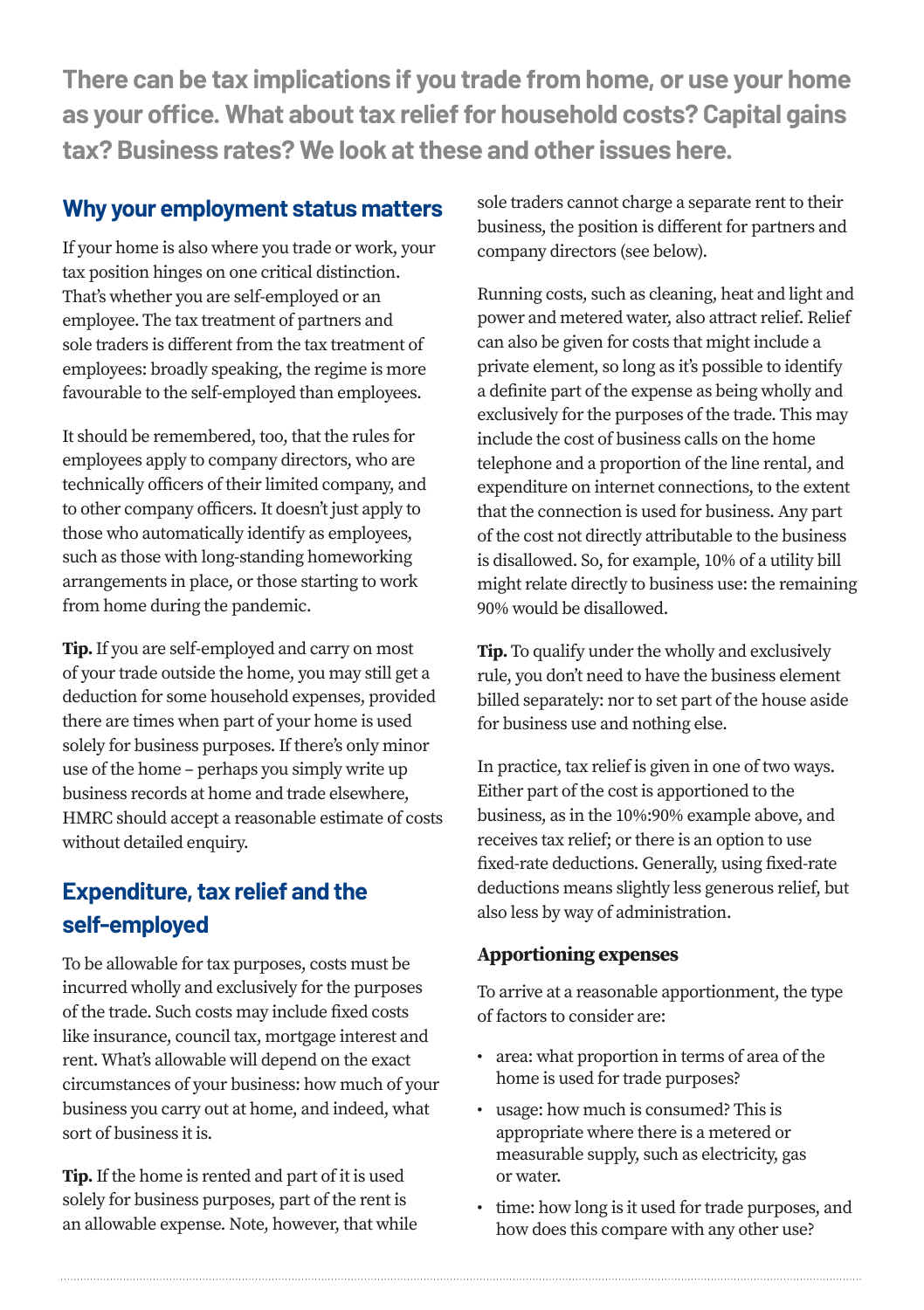**There can be tax implications if you trade from home, or use your home as your office. What about tax relief for household costs? Capital gains tax? Business rates? We look at these and other issues here.**

# **Why your employment status matters**

If your home is also where you trade or work, your tax position hinges on one critical distinction. That's whether you are self-employed or an employee. The tax treatment of partners and sole traders is different from the tax treatment of employees: broadly speaking, the regime is more favourable to the self-employed than employees.

It should be remembered, too, that the rules for employees apply to company directors, who are technically officers of their limited company, and to other company officers. It doesn't just apply to those who automatically identify as employees, such as those with long-standing homeworking arrangements in place, or those starting to work from home during the pandemic.

**Tip.** If you are self-employed and carry on most of your trade outside the home, you may still get a deduction for some household expenses, provided there are times when part of your home is used solely for business purposes. If there's only minor use of the home – perhaps you simply write up business records at home and trade elsewhere, HMRC should accept a reasonable estimate of costs without detailed enquiry.

# **Expenditure, tax relief and the self-employed**

To be allowable for tax purposes, costs must be incurred wholly and exclusively for the purposes of the trade. Such costs may include fixed costs like insurance, council tax, mortgage interest and rent. What's allowable will depend on the exact circumstances of your business: how much of your business you carry out at home, and indeed, what sort of business it is.

**Tip.** If the home is rented and part of it is used solely for business purposes, part of the rent is an allowable expense. Note, however, that while sole traders cannot charge a separate rent to their business, the position is different for partners and company directors (see below).

Running costs, such as cleaning, heat and light and power and metered water, also attract relief. Relief can also be given for costs that might include a private element, so long as it's possible to identify a definite part of the expense as being wholly and exclusively for the purposes of the trade. This may include the cost of business calls on the home telephone and a proportion of the line rental, and expenditure on internet connections, to the extent that the connection is used for business. Any part of the cost not directly attributable to the business is disallowed. So, for example, 10% of a utility bill might relate directly to business use: the remaining 90% would be disallowed.

**Tip.** To qualify under the wholly and exclusively rule, you don't need to have the business element billed separately: nor to set part of the house aside for business use and nothing else.

In practice, tax relief is given in one of two ways. Either part of the cost is apportioned to the business, as in the 10%:90% example above, and receives tax relief; or there is an option to use fixed-rate deductions. Generally, using fixed-rate deductions means slightly less generous relief, but also less by way of administration.

# **Apportioning expenses**

To arrive at a reasonable apportionment, the type of factors to consider are:

- area: what proportion in terms of area of the home is used for trade purposes?
- usage: how much is consumed? This is appropriate where there is a metered or measurable supply, such as electricity, gas or water.
- time: how long is it used for trade purposes, and how does this compare with any other use?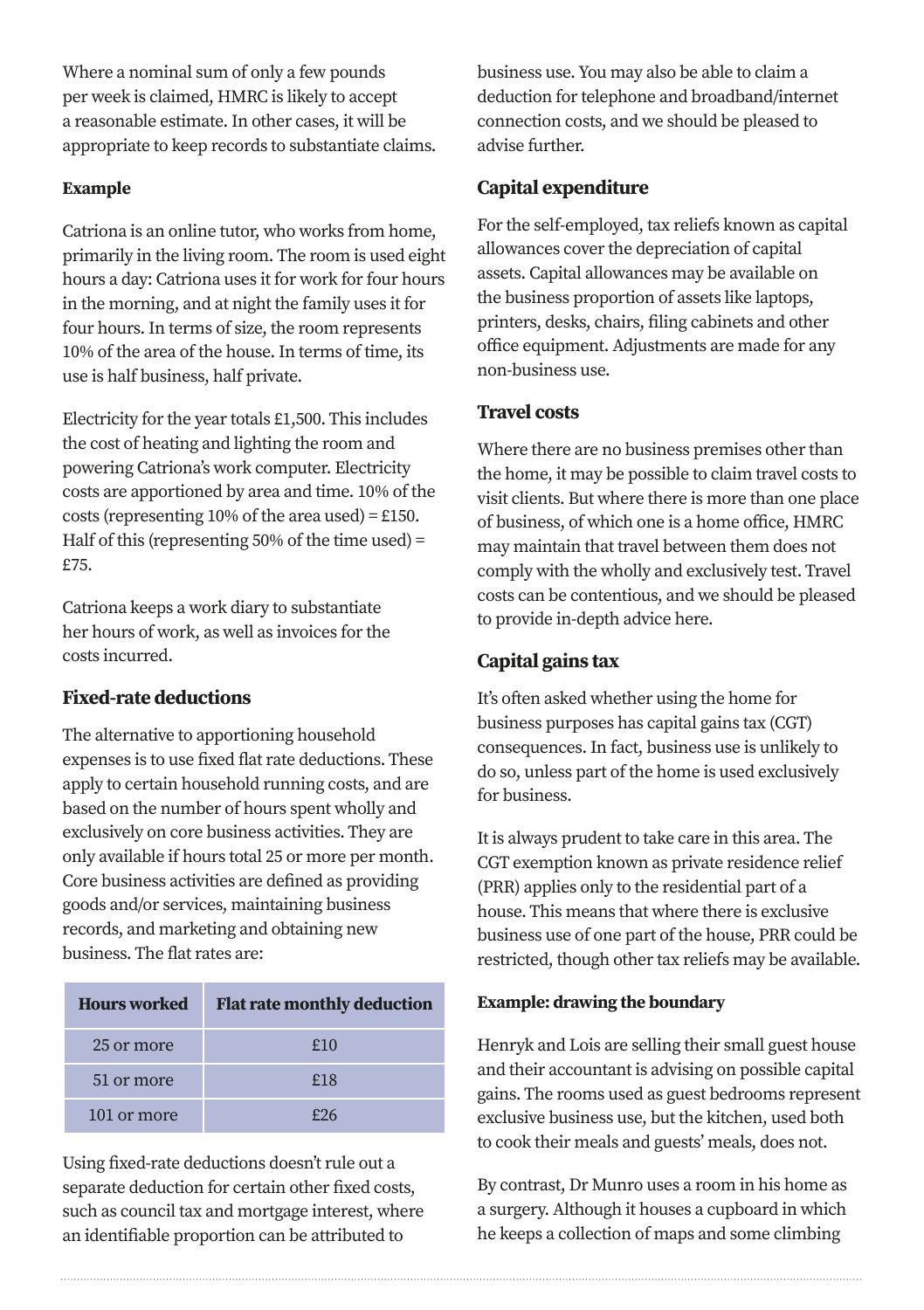Where a nominal sum of only a few pounds per week is claimed, HMRC is likely to accept a reasonable estimate. In other cases, it will be appropriate to keep records to substantiate claims.

#### **Example**

Catriona is an online tutor, who works from home, primarily in the living room. The room is used eight hours a day: Catriona uses it for work for four hours in the morning, and at night the family uses it for four hours. In terms of size, the room represents 10% of the area of the house. In terms of time, its use is half business, half private.

Electricity for the year totals £1,500. This includes the cost of heating and lighting the room and powering Catriona's work computer. Electricity costs are apportioned by area and time. 10% of the costs (representing 10% of the area used) = £150. Half of this (representing 50% of the time used) = £75.

Catriona keeps a work diary to substantiate her hours of work, as well as invoices for the costs incurred.

## **Fixed-rate deductions**

The alternative to apportioning household expenses is to use fixed flat rate deductions. These apply to certain household running costs, and are based on the number of hours spent wholly and exclusively on core business activities. They are only available if hours total 25 or more per month. Core business activities are defined as providing goods and/or services, maintaining business records, and marketing and obtaining new business. The flat rates are:

| <b>Hours</b> worked | <b>Flat rate monthly deduction</b> |
|---------------------|------------------------------------|
| 25 or more          | £10                                |
| 51 or more          | f18                                |
| 101 or more         | £26                                |

Using fixed-rate deductions doesn't rule out a separate deduction for certain other fixed costs, such as council tax and mortgage interest, where an identifiable proportion can be attributed to

business use. You may also be able to claim a deduction for telephone and broadband/internet connection costs, and we should be pleased to advise further.

# **Capital expenditure**

For the self-employed, tax reliefs known as capital allowances cover the depreciation of capital assets. Capital allowances may be available on the business proportion of assets like laptops, printers, desks, chairs, filing cabinets and other office equipment. Adjustments are made for any non-business use.

# **Travel costs**

Where there are no business premises other than the home, it may be possible to claim travel costs to visit clients. But where there is more than one place of business, of which one is a home office, HMRC may maintain that travel between them does not comply with the wholly and exclusively test. Travel costs can be contentious, and we should be pleased to provide in-depth advice here.

# **Capital gains tax**

It's often asked whether using the home for business purposes has capital gains tax (CGT) consequences. In fact, business use is unlikely to do so, unless part of the home is used exclusively for business.

It is always prudent to take care in this area. The CGT exemption known as private residence relief (PRR) applies only to the residential part of a house. This means that where there is exclusive business use of one part of the house, PRR could be restricted, though other tax reliefs may be available.

#### **Example: drawing the boundary**

Henryk and Lois are selling their small guest house and their accountant is advising on possible capital gains. The rooms used as guest bedrooms represent exclusive business use, but the kitchen, used both to cook their meals and guests' meals, does not.

By contrast, Dr Munro uses a room in his home as a surgery. Although it houses a cupboard in which he keeps a collection of maps and some climbing